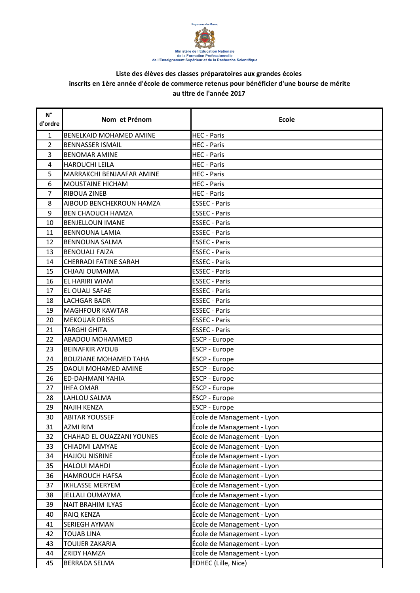

| $\mathsf{N}^\circ$<br>d'ordre | Nom et Prénom                  | <b>Ecole</b>               |
|-------------------------------|--------------------------------|----------------------------|
| $\mathbf{1}$                  | <b>BENELKAID MOHAMED AMINE</b> | <b>HEC - Paris</b>         |
| 2                             | <b>BENNASSER ISMAIL</b>        | <b>HEC</b> - Paris         |
| 3                             | <b>BENOMAR AMINE</b>           | <b>HEC</b> - Paris         |
| $\overline{4}$                | <b>HAROUCHI LEILA</b>          | <b>HEC</b> - Paris         |
| 5                             | MARRAKCHI BENJAAFAR AMINE      | <b>HEC</b> - Paris         |
| 6                             | <b>MOUSTAINE HICHAM</b>        | <b>HEC</b> - Paris         |
| $\overline{7}$                | <b>RIBOUA ZINEB</b>            | <b>HEC</b> - Paris         |
| 8                             | AIBOUD BENCHEKROUN HAMZA       | <b>ESSEC - Paris</b>       |
| 9                             | <b>BEN CHAOUCH HAMZA</b>       | <b>ESSEC - Paris</b>       |
| 10                            | <b>BENJELLOUN IMANE</b>        | <b>ESSEC - Paris</b>       |
| 11                            | <b>BENNOUNA LAMIA</b>          | <b>ESSEC - Paris</b>       |
| 12                            | <b>BENNOUNA SALMA</b>          | <b>ESSEC - Paris</b>       |
| 13                            | <b>BENOUALI FAIZA</b>          | <b>ESSEC - Paris</b>       |
| 14                            | CHERRADI FATINE SARAH          | <b>ESSEC - Paris</b>       |
| 15                            | CHJAAI OUMAIMA                 | <b>ESSEC - Paris</b>       |
| 16                            | EL HARIRI WIAM                 | <b>ESSEC - Paris</b>       |
| 17                            | EL OUALI SAFAE                 | <b>ESSEC - Paris</b>       |
| 18                            | <b>LACHGAR BADR</b>            | <b>ESSEC - Paris</b>       |
| 19                            | <b>MAGHFOUR KAWTAR</b>         | <b>ESSEC - Paris</b>       |
| 20                            | <b>MEKOUAR DRISS</b>           | <b>ESSEC - Paris</b>       |
| 21                            | <b>TARGHI GHITA</b>            | <b>ESSEC - Paris</b>       |
| 22                            | <b>ABADOU MOHAMMED</b>         | <b>ESCP - Europe</b>       |
| 23                            | <b>BEINAFKIR AYOUB</b>         | ESCP - Europe              |
| 24                            | <b>BOUZIANE MOHAMED TAHA</b>   | <b>ESCP - Europe</b>       |
| 25                            | DAOUI MOHAMED AMINE            | ESCP - Europe              |
| 26                            | <b>ED-DAHMANI YAHIA</b>        | <b>ESCP - Europe</b>       |
| 27                            | <b>IHFA OMAR</b>               | ESCP - Europe              |
| 28                            | LAHLOU SALMA                   | <b>ESCP - Europe</b>       |
| 29                            | <b>NAJIH KENZA</b>             | <b>ESCP - Europe</b>       |
| 30                            | <b>ABITAR YOUSSEF</b>          | École de Management - Lyon |
| 31                            | <b>AZMI RIM</b>                | École de Management - Lyon |
| 32                            | CHAHAD EL OUAZZANI YOUNES      | École de Management - Lyon |
| 33                            | CHIADMI LAMYAE                 | École de Management - Lyon |
| 34                            | <b>HAJJOU NISRINE</b>          | École de Management - Lyon |
| 35                            | <b>HALOUI MAHDI</b>            | École de Management - Lyon |
| 36                            | <b>HAMROUCH HAFSA</b>          | École de Management - Lyon |
| 37                            | <b>IKHLASSE MERYEM</b>         | École de Management - Lyon |
| 38                            | JELLALI OUMAYMA                | École de Management - Lyon |
| 39                            | <b>NAIT BRAHIM ILYAS</b>       | École de Management - Lyon |
| 40                            | RAIQ KENZA                     | École de Management - Lyon |
| 41                            | <b>SERIEGH AYMAN</b>           | École de Management - Lyon |
| 42                            | <b>TOUAB LINA</b>              | École de Management - Lyon |
| 43                            | <b>TOUIJER ZAKARIA</b>         | École de Management - Lyon |
| 44                            | <b>ZRIDY HAMZA</b>             | École de Management - Lyon |
| 45                            | <b>BERRADA SELMA</b>           | EDHEC (Lille, Nice)        |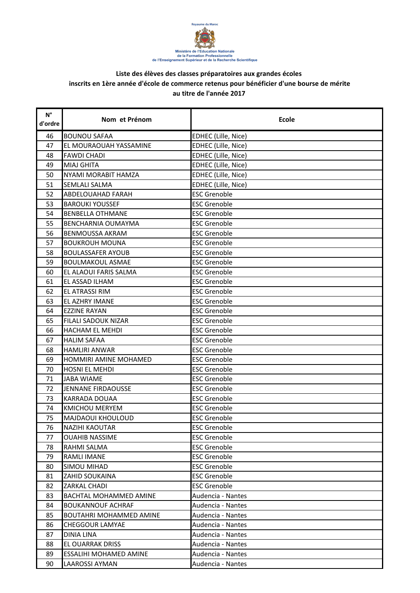

| $N^{\circ}$<br>d'ordre | Nom et Prénom                  | <b>Ecole</b>        |
|------------------------|--------------------------------|---------------------|
| 46                     | <b>BOUNOU SAFAA</b>            | EDHEC (Lille, Nice) |
| 47                     | EL MOURAOUAH YASSAMINE         | EDHEC (Lille, Nice) |
| 48                     | <b>FAWDI CHADI</b>             | EDHEC (Lille, Nice) |
| 49                     | <b>MIAJ GHITA</b>              | EDHEC (Lille, Nice) |
| 50                     | NYAMI MORABIT HAMZA            | EDHEC (Lille, Nice) |
| 51                     | SEMLALI SALMA                  | EDHEC (Lille, Nice) |
| 52                     | ABDELOUAHAD FARAH              | <b>ESC Grenoble</b> |
| 53                     | <b>BAROUKI YOUSSEF</b>         | <b>ESC Grenoble</b> |
| 54                     | <b>BENBELLA OTHMANE</b>        | <b>ESC Grenoble</b> |
| 55                     | BENCHARNIA OUMAYMA             | <b>ESC Grenoble</b> |
| 56                     | <b>BENMOUSSA AKRAM</b>         | <b>ESC Grenoble</b> |
| 57                     | <b>BOUKROUH MOUNA</b>          | <b>ESC Grenoble</b> |
| 58                     | <b>BOULASSAFER AYOUB</b>       | <b>ESC Grenoble</b> |
| 59                     | <b>BOULMAKOUL ASMAE</b>        | <b>ESC Grenoble</b> |
| 60                     | EL ALAOUI FARIS SALMA          | <b>ESC Grenoble</b> |
| 61                     | EL ASSAD ILHAM                 | <b>ESC Grenoble</b> |
| 62                     | EL ATRASSI RIM                 | <b>ESC Grenoble</b> |
| 63                     | <b>EL AZHRY IMANE</b>          | <b>ESC Grenoble</b> |
| 64                     | <b>EZZINE RAYAN</b>            | <b>ESC Grenoble</b> |
| 65                     | <b>FILALI SADOUK NIZAR</b>     | <b>ESC Grenoble</b> |
| 66                     | HACHAM EL MEHDI                | <b>ESC Grenoble</b> |
| 67                     | <b>HALIM SAFAA</b>             | <b>ESC Grenoble</b> |
| 68                     | <b>HAMLIRI ANWAR</b>           | <b>ESC Grenoble</b> |
| 69                     | HOMMIRI AMINE MOHAMED          | <b>ESC Grenoble</b> |
| 70                     | HOSNI EL MEHDI                 | <b>ESC Grenoble</b> |
| 71                     | <b>JABA WIAME</b>              | <b>ESC Grenoble</b> |
| 72                     | JENNANE FIRDAOUSSE             | <b>ESC Grenoble</b> |
| 73                     | <b>KARRADA DOUAA</b>           | <b>ESC Grenoble</b> |
| 74                     | <b>KMICHOU MERYEM</b>          | <b>ESC Grenoble</b> |
| 75                     | MAJDAOUI KHOULOUD              | <b>ESC Grenoble</b> |
| 76                     | NAZIHI KAOUTAR                 | <b>ESC Grenoble</b> |
| 77                     | <b>OUAHIB NASSIME</b>          | <b>ESC Grenoble</b> |
| 78                     | RAHMI SALMA                    | <b>ESC Grenoble</b> |
| 79                     | <b>RAMLI IMANE</b>             | <b>ESC Grenoble</b> |
| 80                     | SIMOU MIHAD                    | <b>ESC Grenoble</b> |
| 81                     | ZAHID SOUKAINA                 | <b>ESC Grenoble</b> |
| 82                     | ZARKAL CHADI                   | <b>ESC Grenoble</b> |
| 83                     | <b>BACHTAL MOHAMMED AMINE</b>  | Audencia - Nantes   |
| 84                     | <b>BOUKANNOUF ACHRAF</b>       | Audencia - Nantes   |
| 85                     | <b>BOUTAHRI MOHAMMED AMINE</b> | Audencia - Nantes   |
| 86                     | <b>CHEGGOUR LAMYAE</b>         | Audencia - Nantes   |
| 87                     | <b>DINIA LINA</b>              | Audencia - Nantes   |
| 88                     | <b>EL OUARRAK DRISS</b>        | Audencia - Nantes   |
| 89                     | ESSALIHI MOHAMED AMINE         | Audencia - Nantes   |
| 90                     | <b>LAAROSSI AYMAN</b>          | Audencia - Nantes   |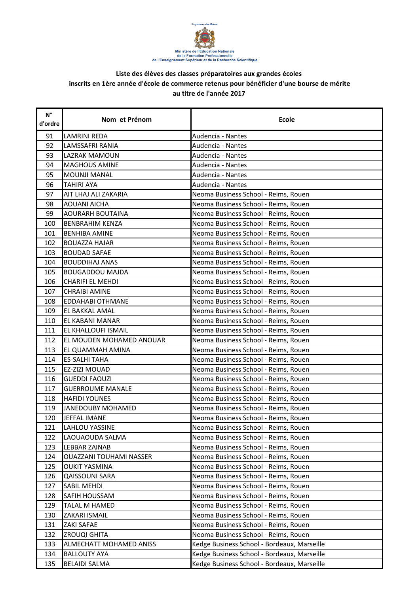

| $\mathsf{N}^\circ$<br>d'ordre | Nom et Prénom            | <b>Ecole</b>                                |
|-------------------------------|--------------------------|---------------------------------------------|
| 91                            | LAMRINI REDA             | Audencia - Nantes                           |
| 92                            | LAMSSAFRI RANIA          | Audencia - Nantes                           |
| 93                            | LAZRAK MAMOUN            | Audencia - Nantes                           |
| 94                            | <b>MAGHOUS AMINE</b>     | Audencia - Nantes                           |
| 95                            | <b>MOUNJI MANAL</b>      | Audencia - Nantes                           |
| 96                            | <b>TAHIRI AYA</b>        | Audencia - Nantes                           |
| 97                            | AIT LHAJ ALI ZAKARIA     | Neoma Business School - Reims, Rouen        |
| 98                            | <b>AOUANI AICHA</b>      | Neoma Business School - Reims, Rouen        |
| 99                            | <b>AOURARH BOUTAINA</b>  | Neoma Business School - Reims, Rouen        |
| 100                           | <b>BENBRAHIM KENZA</b>   | Neoma Business School - Reims, Rouen        |
| 101                           | <b>BENHIBA AMINE</b>     | Neoma Business School - Reims, Rouen        |
| 102                           | <b>BOUAZZA HAJAR</b>     | Neoma Business School - Reims, Rouen        |
| 103                           | <b>BOUDAD SAFAE</b>      | Neoma Business School - Reims, Rouen        |
| 104                           | <b>BOUDDIHAJ ANAS</b>    | Neoma Business School - Reims, Rouen        |
| 105                           | <b>BOUGADDOU MAJDA</b>   | Neoma Business School - Reims, Rouen        |
| 106                           | <b>CHARIFI EL MEHDI</b>  | Neoma Business School - Reims, Rouen        |
| 107                           | <b>CHRAIBI AMINE</b>     | Neoma Business School - Reims, Rouen        |
| 108                           | <b>EDDAHABI OTHMANE</b>  | Neoma Business School - Reims, Rouen        |
| 109                           | EL BAKKAL AMAL           | Neoma Business School - Reims, Rouen        |
| 110                           | EL KABANI MANAR          | Neoma Business School - Reims, Rouen        |
| 111                           | EL KHALLOUFI ISMAIL      | Neoma Business School - Reims, Rouen        |
| 112                           | EL MOUDEN MOHAMED ANOUAR | Neoma Business School - Reims, Rouen        |
| 113                           | EL QUAMMAH AMINA         | Neoma Business School - Reims, Rouen        |
| 114                           | <b>ES-SALHI TAHA</b>     | Neoma Business School - Reims, Rouen        |
| 115                           | EZ-ZIZI MOUAD            | Neoma Business School - Reims, Rouen        |
| 116                           | <b>GUEDDI FAOUZI</b>     | Neoma Business School - Reims, Rouen        |
| 117                           | <b>GUERROUME MANALE</b>  | Neoma Business School - Reims, Rouen        |
| 118                           | <b>HAFIDI YOUNES</b>     | Neoma Business School - Reims, Rouen        |
| 119                           | JANEDOUBY MOHAMED        | Neoma Business School - Reims, Rouen        |
| 120                           | <b>JEFFAL IMANE</b>      | Neoma Business School - Reims, Rouen        |
| 121                           | LAHLOU YASSINE           | Neoma Business School - Reims, Rouen        |
| 122                           | LAOUAOUDA SALMA          | Neoma Business School - Reims, Rouen        |
| 123                           | <b>LEBBAR ZAINAB</b>     | Neoma Business School - Reims, Rouen        |
| 124                           | OUAZZANI TOUHAMI NASSER  | Neoma Business School - Reims, Rouen        |
| 125                           | OUKIT YASMINA            | Neoma Business School - Reims, Rouen        |
| 126                           | <b>QAISSOUNI SARA</b>    | Neoma Business School - Reims, Rouen        |
| 127                           | SABIL MEHDI              | Neoma Business School - Reims, Rouen        |
| 128                           | SAFIH HOUSSAM            | Neoma Business School - Reims, Rouen        |
| 129                           | TALAL M HAMED            | Neoma Business School - Reims, Rouen        |
| 130                           | ZAKARI ISMAIL            | Neoma Business School - Reims, Rouen        |
| 131                           | ZAKI SAFAE               | Neoma Business School - Reims, Rouen        |
| 132                           | <b>ZROUQI GHITA</b>      | Neoma Business School - Reims, Rouen        |
| 133                           | ALMECHATT MOHAMED ANISS  | Kedge Business School - Bordeaux, Marseille |
| 134                           | <b>BALLOUTY AYA</b>      | Kedge Business School - Bordeaux, Marseille |
| 135                           | <b>BELAIDI SALMA</b>     | Kedge Business School - Bordeaux, Marseille |